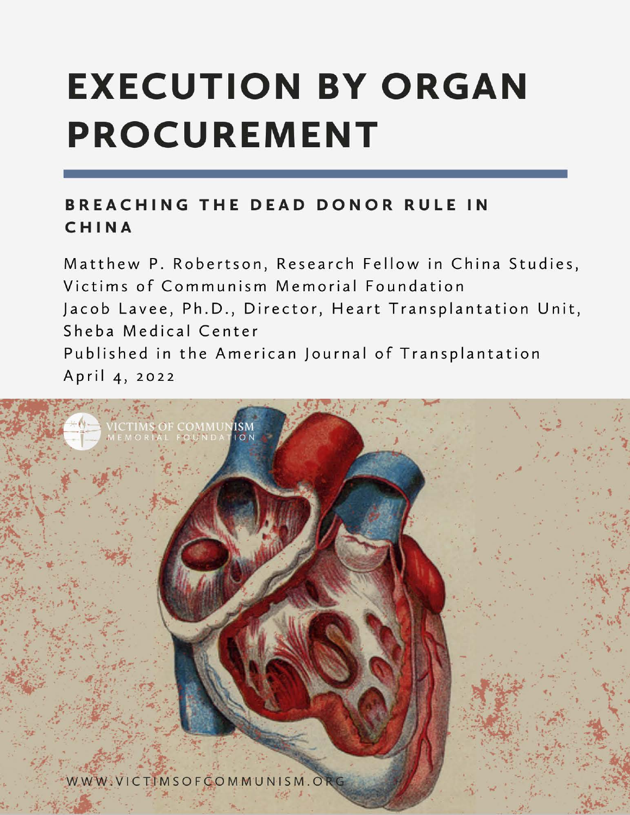# **EXECUTION BY ORGAN PROCUREMENT**

## BREACHING THE DEAD DONOR RULE IN CHINA

Matthew P. Robertson, Research Fellow in China Studies, Victims of Communism Memorial Foundation Jacob Lavee, Ph.D., Director, Heart Transplantation Unit, Sheba Medical Center Published in the American Journal of Transplantation April 4, 2022

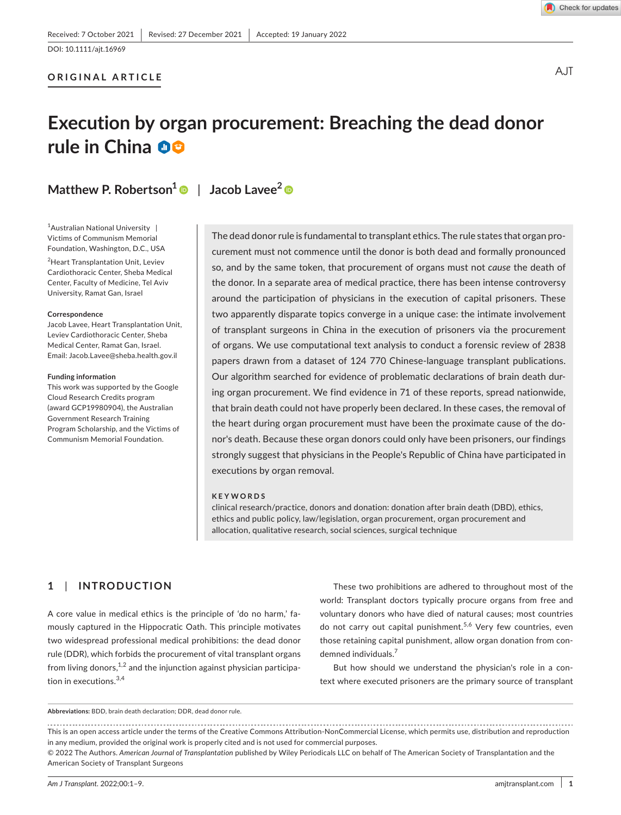#### **ORIGINAL ARTICLE**

#### Check for updates

A.IT

## **Execution by organ procurement: Breaching the dead donor rule in China**

**Matthew P. Robertson<sup>1</sup>** | **Jacob Lavee<sup>2</sup>**

1 Australian National University | Victims of Communism Memorial Foundation, Washington, D.C., USA

2 Heart Transplantation Unit, Leviev Cardiothoracic Center, Sheba Medical Center, Faculty of Medicine, Tel Aviv University, Ramat Gan, Israel

#### **Correspondence**

Jacob Lavee, Heart Transplantation Unit, Leviev Cardiothoracic Center, Sheba Medical Center, Ramat Gan, Israel. Email: [Jacob.Lavee@sheba.health.gov.il](mailto:Jacob.Lavee@sheba.health.gov.il)

#### **Funding information**

This work was supported by the Google Cloud Research Credits program (award GCP19980904), the Australian Government Research Training Program Scholarship, and the Victims of Communism Memorial Foundation.

The dead donor rule is fundamental to transplant ethics. The rule states that organ procurement must not commence until the donor is both dead and formally pronounced so, and by the same token, that procurement of organs must not *cause* the death of the donor. In a separate area of medical practice, there has been intense controversy around the participation of physicians in the execution of capital prisoners. These two apparently disparate topics converge in a unique case: the intimate involvement of transplant surgeons in China in the execution of prisoners via the procurement of organs. We use computational text analysis to conduct a forensic review of 2838 papers drawn from a dataset of 124 770 Chinese-language transplant publications. Our algorithm searched for evidence of problematic declarations of brain death during organ procurement. We find evidence in 71 of these reports, spread nationwide, that brain death could not have properly been declared. In these cases, the removal of the heart during organ procurement must have been the proximate cause of the donor's death. Because these organ donors could only have been prisoners, our findings strongly suggest that physicians in the People's Republic of China have participated in executions by organ removal.

#### **KEYWORDS**

clinical research/practice, donors and donation: donation after brain death (DBD), ethics, ethics and public policy, law/legislation, organ procurement, organ procurement and allocation, qualitative research, social sciences, surgical technique

#### **1**  | **INTRODUCTION**

A core value in medical ethics is the principle of 'do no harm,' famously captured in the Hippocratic Oath. This principle motivates two widespread professional medical prohibitions: the dead donor rule (DDR), which forbids the procurement of vital transplant organs from living donors, $1,2$  and the injunction against physician participation in executions. $3,4$ 

These two prohibitions are adhered to throughout most of the world: Transplant doctors typically procure organs from free and voluntary donors who have died of natural causes; most countries do not carry out capital punishment.<sup>5,6</sup> Very few countries, even those retaining capital punishment, allow organ donation from condemned individuals.<sup>7</sup>

But how should we understand the physician's role in a context where executed prisoners are the primary source of transplant

#### **Abbreviations:** BDD, brain death declaration; DDR, dead donor rule.

This is an open access article under the terms of the [Creative Commons Attribution-NonCommercial](http://creativecommons.org/licenses/by-nc/4.0/) License, which permits use, distribution and reproduction in any medium, provided the original work is properly cited and is not used for commercial purposes.

© 2022 The Authors. *American Journal of Transplantation* published by Wiley Periodicals LLC on behalf of The American Society of Transplantation and the American Society of Transplant Surgeons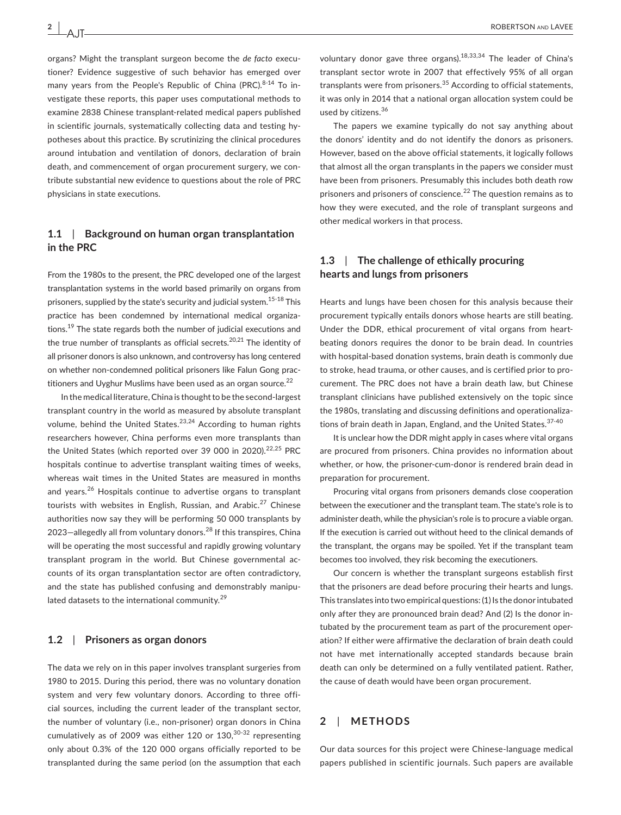AJT

organs? Might the transplant surgeon become the *de facto* executioner? Evidence suggestive of such behavior has emerged over many years from the People's Republic of China (PRC).<sup>8-14</sup> To investigate these reports, this paper uses computational methods to examine 2838 Chinese transplant-related medical papers published in scientific journals, systematically collecting data and testing hypotheses about this practice. By scrutinizing the clinical procedures around intubation and ventilation of donors, declaration of brain death, and commencement of organ procurement surgery, we contribute substantial new evidence to questions about the role of PRC physicians in state executions.

#### **1.1**  | **Background on human organ transplantation in the PRC**

From the 1980s to the present, the PRC developed one of the largest transplantation systems in the world based primarily on organs from prisoners, supplied by the state's security and judicial system.<sup>15-18</sup> This practice has been condemned by international medical organizations.<sup>19</sup> The state regards both the number of judicial executions and the true number of transplants as official secrets.<sup>20,21</sup> The identity of all prisoner donors is also unknown, and controversy has long centered on whether non-condemned political prisoners like Falun Gong practitioners and Uyghur Muslims have been used as an organ source. $^{22}$ 

In the medical literature, China is thought to be the second-largest transplant country in the world as measured by absolute transplant volume, behind the United States.<sup>23,24</sup> According to human rights researchers however, China performs even more transplants than the United States (which reported over 39 000 in 2020). $22,25$  PRC hospitals continue to advertise transplant waiting times of weeks, whereas wait times in the United States are measured in months and years.<sup>26</sup> Hospitals continue to advertise organs to transplant tourists with websites in English, Russian, and Arabic.<sup>27</sup> Chinese authorities now say they will be performing 50 000 transplants by 2023-allegedly all from voluntary donors.<sup>28</sup> If this transpires, China will be operating the most successful and rapidly growing voluntary transplant program in the world. But Chinese governmental accounts of its organ transplantation sector are often contradictory, and the state has published confusing and demonstrably manipulated datasets to the international community.<sup>29</sup>

#### **1.2**  | **Prisoners as organ donors**

The data we rely on in this paper involves transplant surgeries from 1980 to 2015. During this period, there was no voluntary donation system and very few voluntary donors. According to three official sources, including the current leader of the transplant sector, the number of voluntary (i.e., non-prisoner) organ donors in China cumulatively as of 2009 was either 120 or  $130,30-32$  representing only about 0.3% of the 120 000 organs officially reported to be transplanted during the same period (on the assumption that each

voluntary donor gave three organs).18,33,34 The leader of China's transplant sector wrote in 2007 that effectively 95% of all organ transplants were from prisoners.<sup>35</sup> According to official statements, it was only in 2014 that a national organ allocation system could be used by citizens.<sup>36</sup>

The papers we examine typically do not say anything about the donors' identity and do not identify the donors as prisoners. However, based on the above official statements, it logically follows that almost all the organ transplants in the papers we consider must have been from prisoners. Presumably this includes both death row prisoners and prisoners of conscience.<sup>22</sup> The question remains as to how they were executed, and the role of transplant surgeons and other medical workers in that process.

#### **1.3**  | **The challenge of ethically procuring hearts and lungs from prisoners**

Hearts and lungs have been chosen for this analysis because their procurement typically entails donors whose hearts are still beating. Under the DDR, ethical procurement of vital organs from heartbeating donors requires the donor to be brain dead. In countries with hospital-based donation systems, brain death is commonly due to stroke, head trauma, or other causes, and is certified prior to procurement. The PRC does not have a brain death law, but Chinese transplant clinicians have published extensively on the topic since the 1980s, translating and discussing definitions and operationalizations of brain death in Japan, England, and the United States. 37-40

It is unclear how the DDR might apply in cases where vital organs are procured from prisoners. China provides no information about whether, or how, the prisoner-cum-donor is rendered brain dead in preparation for procurement.

Procuring vital organs from prisoners demands close cooperation between the executioner and the transplant team. The state's role is to administer death, while the physician's role is to procure a viable organ. If the execution is carried out without heed to the clinical demands of the transplant, the organs may be spoiled. Yet if the transplant team becomes too involved, they risk becoming the executioners.

Our concern is whether the transplant surgeons establish first that the prisoners are dead before procuring their hearts and lungs. This translates into two empirical questions: (1) Is the donor intubated only after they are pronounced brain dead? And (2) Is the donor intubated by the procurement team as part of the procurement operation? If either were affirmative the declaration of brain death could not have met internationally accepted standards because brain death can only be determined on a fully ventilated patient. Rather, the cause of death would have been organ procurement.

#### **2**  | **METHODS**

Our data sources for this project were Chinese-language medical papers published in scientific journals. Such papers are available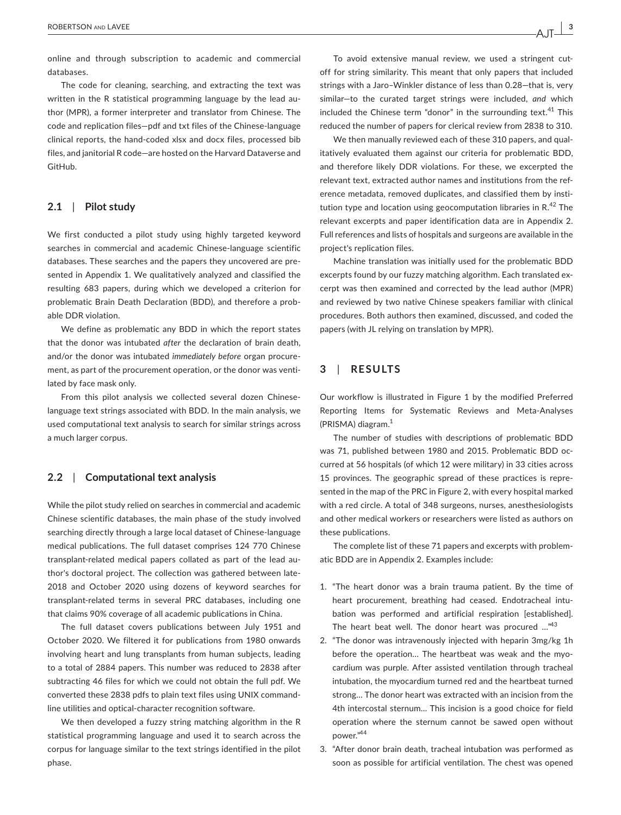online and through subscription to academic and commercial databases.

The code for cleaning, searching, and extracting the text was written in the R statistical programming language by the lead author (MPR), a former interpreter and translator from Chinese. The code and replication files—pdf and txt files of the Chinese-language clinical reports, the hand-coded xlsx and docx files, processed bib files, and janitorial R code—are hosted on the Harvard Dataverse and GitHub.

#### **2.1**  | **Pilot study**

We first conducted a pilot study using highly targeted keyword searches in commercial and academic Chinese-language scientific databases. These searches and the papers they uncovered are presented in Appendix 1. We qualitatively analyzed and classified the resulting 683 papers, during which we developed a criterion for problematic Brain Death Declaration (BDD), and therefore a probable DDR violation.

We define as problematic any BDD in which the report states that the donor was intubated *after* the declaration of brain death, and/or the donor was intubated *immediately before* organ procurement, as part of the procurement operation, or the donor was ventilated by face mask only.

From this pilot analysis we collected several dozen Chineselanguage text strings associated with BDD. In the main analysis, we used computational text analysis to search for similar strings across a much larger corpus.

#### **2.2**  | **Computational text analysis**

While the pilot study relied on searches in commercial and academic Chinese scientific databases, the main phase of the study involved searching directly through a large local dataset of Chinese-language medical publications. The full dataset comprises 124 770 Chinese transplant-related medical papers collated as part of the lead author's doctoral project. The collection was gathered between late-2018 and October 2020 using dozens of keyword searches for transplant-related terms in several PRC databases, including one that claims 90% coverage of all academic publications in China.

The full dataset covers publications between July 1951 and October 2020. We filtered it for publications from 1980 onwards involving heart and lung transplants from human subjects, leading to a total of 2884 papers. This number was reduced to 2838 after subtracting 46 files for which we could not obtain the full pdf. We converted these 2838 pdfs to plain text files using UNIX commandline utilities and optical-character recognition software.

We then developed a fuzzy string matching algorithm in the R statistical programming language and used it to search across the corpus for language similar to the text strings identified in the pilot phase.

To avoid extensive manual review, we used a stringent cutoff for string similarity. This meant that only papers that included strings with a Jaro–Winkler distance of less than 0.28—that is, very similar—to the curated target strings were included, *and* which included the Chinese term "donor" in the surrounding text. $41$  This reduced the number of papers for clerical review from 2838 to 310.

We then manually reviewed each of these 310 papers, and qualitatively evaluated them against our criteria for problematic BDD, and therefore likely DDR violations. For these, we excerpted the relevant text, extracted author names and institutions from the reference metadata, removed duplicates, and classified them by institution type and location using geocomputation libraries in  $R^{42}$  The relevant excerpts and paper identification data are in Appendix 2. Full references and lists of hospitals and surgeons are available in the project's replication files.

Machine translation was initially used for the problematic BDD excerpts found by our fuzzy matching algorithm. Each translated excerpt was then examined and corrected by the lead author (MPR) and reviewed by two native Chinese speakers familiar with clinical procedures. Both authors then examined, discussed, and coded the papers (with JL relying on translation by MPR).

#### **3**  | **RESULTS**

Our workflow is illustrated in Figure 1 by the modified Preferred Reporting Items for Systematic Reviews and Meta-Analyses (PRISMA) diagram.1

The number of studies with descriptions of problematic BDD was 71, published between 1980 and 2015. Problematic BDD occurred at 56 hospitals (of which 12 were military) in 33 cities across 15 provinces. The geographic spread of these practices is represented in the map of the PRC in Figure 2, with every hospital marked with a red circle. A total of 348 surgeons, nurses, anesthesiologists and other medical workers or researchers were listed as authors on these publications.

The complete list of these 71 papers and excerpts with problematic BDD are in Appendix 2. Examples include:

- 1. "The heart donor was a brain trauma patient. By the time of heart procurement, breathing had ceased. Endotracheal intubation was performed and artificial respiration [established]. The heart beat well. The donor heart was procured ..."<sup>43</sup>
- 2. "The donor was intravenously injected with heparin 3mg/kg 1h before the operation… The heartbeat was weak and the myocardium was purple. After assisted ventilation through tracheal intubation, the myocardium turned red and the heartbeat turned strong… The donor heart was extracted with an incision from the 4th intercostal sternum… This incision is a good choice for field operation where the sternum cannot be sawed open without power."44
- 3. "After donor brain death, tracheal intubation was performed as soon as possible for artificial ventilation. The chest was opened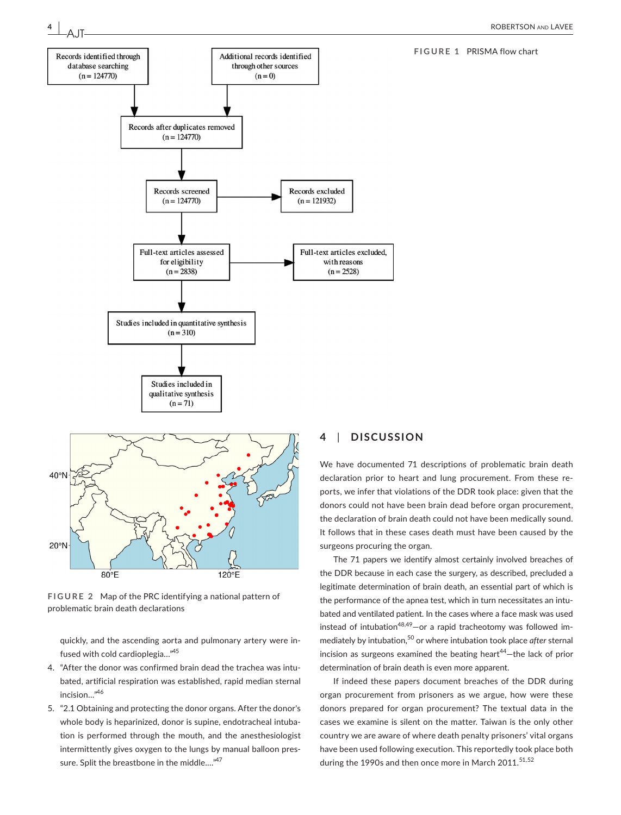**FIGURE 1** PRISMA flow chart



**4 <sup>|</sup>** 

**FIGURE 2** Map of the PRC identifying a national pattern of problematic brain death declarations

quickly, and the ascending aorta and pulmonary artery were infused with cold cardioplegia…"45

- 4. "After the donor was confirmed brain dead the trachea was intubated, artificial respiration was established, rapid median sternal incision…"46
- 5. "2.1 Obtaining and protecting the donor organs. After the donor's whole body is heparinized, donor is supine, endotracheal intubation is performed through the mouth, and the anesthesiologist intermittently gives oxygen to the lungs by manual balloon pressure. Split the breastbone in the middle...."<sup>47</sup>

#### **4**  | **DISCUSSION**

We have documented 71 descriptions of problematic brain death declaration prior to heart and lung procurement. From these reports, we infer that violations of the DDR took place: given that the donors could not have been brain dead before organ procurement, the declaration of brain death could not have been medically sound. It follows that in these cases death must have been caused by the surgeons procuring the organ.

The 71 papers we identify almost certainly involved breaches of the DDR because in each case the surgery, as described, precluded a legitimate determination of brain death, an essential part of which is the performance of the apnea test, which in turn necessitates an intubated and ventilated patient. In the cases where a face mask was used instead of intubation<sup>48,49</sup>-or a rapid tracheotomy was followed immediately by intubation,50 or where intubation took place *after* sternal incision as surgeons examined the beating heart $44$ -the lack of prior determination of brain death is even more apparent.

If indeed these papers document breaches of the DDR during organ procurement from prisoners as we argue, how were these donors prepared for organ procurement? The textual data in the cases we examine is silent on the matter. Taiwan is the only other country we are aware of where death penalty prisoners' vital organs have been used following execution. This reportedly took place both during the 1990s and then once more in March 2011.<sup>51,52</sup>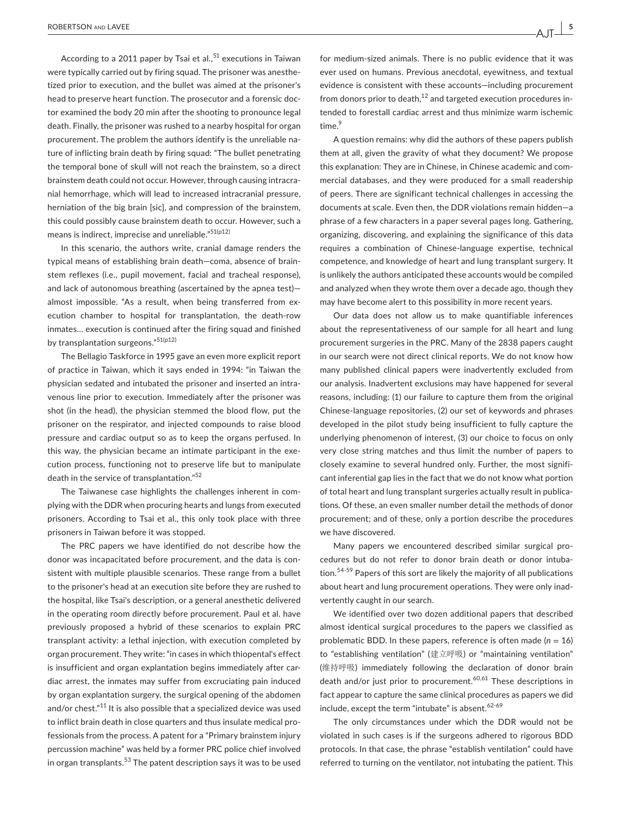According to a 2011 paper by Tsai et al.,  $51$  executions in Taiwan were typically carried out by firing squad. The prisoner was anesthetized prior to execution, and the bullet was aimed at the prisoner's head to preserve heart function. The prosecutor and a forensic doctor examined the body 20 min after the shooting to pronounce legal death. Finally, the prisoner was rushed to a nearby hospital for organ procurement. The problem the authors identify is the unreliable nature of inflicting brain death by firing squad: "The bullet penetrating the temporal bone of skull will not reach the brainstem, so a direct brainstem death could not occur. However, through causing intracranial hemorrhage, which will lead to increased intracranial pressure, herniation of the big brain [sic], and compression of the brainstem, this could possibly cause brainstem death to occur. However, such a means is indirect, imprecise and unreliable."<sup>51(p12)</sup>

In this scenario, the authors write, cranial damage renders the typical means of establishing brain death—coma, absence of brainstem reflexes (i.e., pupil movement, facial and tracheal response), and lack of autonomous breathing (ascertained by the apnea test) almost impossible. "As a result, when being transferred from execution chamber to hospital for transplantation, the death-row inmates… execution is continued after the firing squad and finished by transplantation surgeons."51(p12)

The Bellagio Taskforce in 1995 gave an even more explicit report of practice in Taiwan, which it says ended in 1994: "in Taiwan the physician sedated and intubated the prisoner and inserted an intravenous line prior to execution. Immediately after the prisoner was shot (in the head), the physician stemmed the blood flow, put the prisoner on the respirator, and injected compounds to raise blood pressure and cardiac output so as to keep the organs perfused. In this way, the physician became an intimate participant in the execution process, functioning not to preserve life but to manipulate death in the service of transplantation."<sup>52</sup>

The Taiwanese case highlights the challenges inherent in complying with the DDR when procuring hearts and lungs from executed prisoners. According to Tsai et al., this only took place with three prisoners in Taiwan before it was stopped.

The PRC papers we have identified do not describe how the donor was incapacitated before procurement, and the data is consistent with multiple plausible scenarios. These range from a bullet to the prisoner's head at an execution site before they are rushed to the hospital, like Tsai's description, or a general anesthetic delivered in the operating room directly before procurement. Paul et al. have previously proposed a hybrid of these scenarios to explain PRC transplant activity: a lethal injection, with execution completed by organ procurement. They write: "in cases in which thiopental's effect is insufficient and organ explantation begins immediately after cardiac arrest, the inmates may suffer from excruciating pain induced by organ explantation surgery, the surgical opening of the abdomen and/or chest."<sup>11</sup> It is also possible that a specialized device was used to inflict brain death in close quarters and thus insulate medical professionals from the process. A patent for a "Primary brainstem injury percussion machine" was held by a former PRC police chief involved in organ transplants.<sup>53</sup> The patent description says it was to be used

for medium-sized animals. There is no public evidence that it was ever used on humans. Previous anecdotal, eyewitness, and textual evidence is consistent with these accounts—including procurement from donors prior to death, $^{12}$  and targeted execution procedures intended to forestall cardiac arrest and thus minimize warm ischemic time.<sup>9</sup>

A question remains: why did the authors of these papers publish them at all, given the gravity of what they document? We propose this explanation: They are in Chinese, in Chinese academic and commercial databases, and they were produced for a small readership of peers. There are significant technical challenges in accessing the documents at scale. Even then, the DDR violations remain hidden—a phrase of a few characters in a paper several pages long. Gathering, organizing, discovering, and explaining the significance of this data requires a combination of Chinese-language expertise, technical competence, and knowledge of heart and lung transplant surgery. It is unlikely the authors anticipated these accounts would be compiled and analyzed when they wrote them over a decade ago, though they may have become alert to this possibility in more recent years.

Our data does not allow us to make quantifiable inferences about the representativeness of our sample for all heart and lung procurement surgeries in the PRC. Many of the 2838 papers caught in our search were not direct clinical reports. We do not know how many published clinical papers were inadvertently excluded from our analysis. Inadvertent exclusions may have happened for several reasons, including: (1) our failure to capture them from the original Chinese-language repositories, (2) our set of keywords and phrases developed in the pilot study being insufficient to fully capture the underlying phenomenon of interest, (3) our choice to focus on only very close string matches and thus limit the number of papers to closely examine to several hundred only. Further, the most significant inferential gap lies in the fact that we do not know what portion of total heart and lung transplant surgeries actually result in publications. Of these, an even smaller number detail the methods of donor procurement; and of these, only a portion describe the procedures we have discovered.

Many papers we encountered described similar surgical procedures but do not refer to donor brain death or donor intubation.<sup>54-59</sup> Papers of this sort are likely the majority of all publications about heart and lung procurement operations. They were only inadvertently caught in our search.

We identified over two dozen additional papers that described almost identical surgical procedures to the papers we classified as problematic BDD. In these papers, reference is often made  $(n = 16)$ to "establishing ventilation" (建立呼吸) or "maintaining ventilation" (维持呼吸) immediately following the declaration of donor brain death and/or just prior to procurement.<sup>60,61</sup> These descriptions in fact appear to capture the same clinical procedures as papers we did include, except the term "intubate" is absent. $62-69$ 

The only circumstances under which the DDR would not be violated in such cases is if the surgeons adhered to rigorous BDD protocols. In that case, the phrase "establish ventilation" could have referred to turning on the ventilator, not intubating the patient. This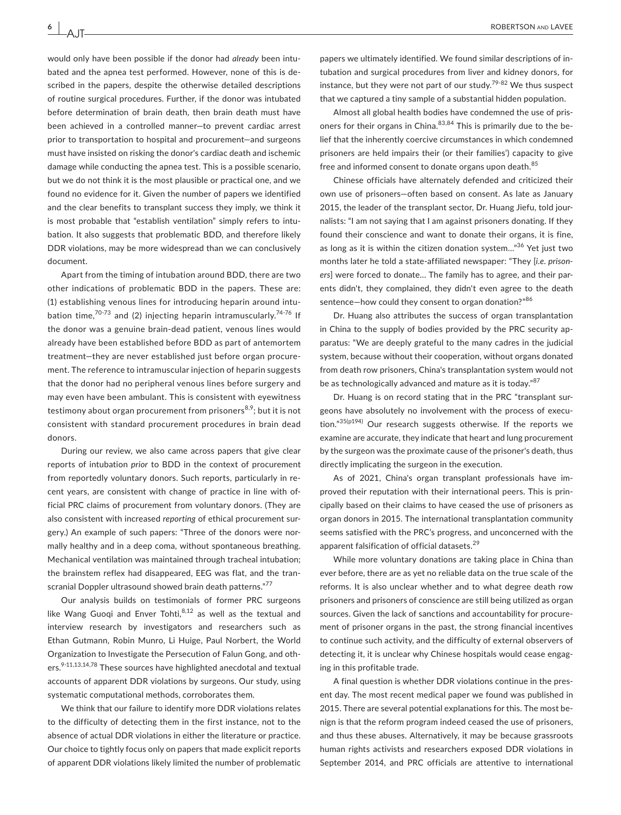**6 <sup>|</sup>** 

AJT

would only have been possible if the donor had *already* been intubated and the apnea test performed. However, none of this is described in the papers, despite the otherwise detailed descriptions of routine surgical procedures. Further, if the donor was intubated before determination of brain death, then brain death must have been achieved in a controlled manner—to prevent cardiac arrest prior to transportation to hospital and procurement—and surgeons must have insisted on risking the donor's cardiac death and ischemic damage while conducting the apnea test. This is a possible scenario, but we do not think it is the most plausible or practical one, and we found no evidence for it. Given the number of papers we identified and the clear benefits to transplant success they imply, we think it is most probable that "establish ventilation" simply refers to intubation. It also suggests that problematic BDD, and therefore likely DDR violations, may be more widespread than we can conclusively document.

Apart from the timing of intubation around BDD, there are two other indications of problematic BDD in the papers. These are: (1) establishing venous lines for introducing heparin around intubation time, $70-73$  and (2) injecting heparin intramuscularly. $74-76$  If the donor was a genuine brain-dead patient, venous lines would already have been established before BDD as part of antemortem treatment—they are never established just before organ procurement. The reference to intramuscular injection of heparin suggests that the donor had no peripheral venous lines before surgery and may even have been ambulant. This is consistent with eyewitness testimony about organ procurement from prisoners<sup>8,9</sup>; but it is not consistent with standard procurement procedures in brain dead donors.

During our review, we also came across papers that give clear reports of intubation *prior* to BDD in the context of procurement from reportedly voluntary donors. Such reports, particularly in recent years, are consistent with change of practice in line with official PRC claims of procurement from voluntary donors. (They are also consistent with increased *reporting* of ethical procurement surgery.) An example of such papers: "Three of the donors were normally healthy and in a deep coma, without spontaneous breathing. Mechanical ventilation was maintained through tracheal intubation; the brainstem reflex had disappeared, EEG was flat, and the transcranial Doppler ultrasound showed brain death patterns."<sup>77</sup>

Our analysis builds on testimonials of former PRC surgeons like Wang Guoqi and Enver Tohti, $8,12$  as well as the textual and interview research by investigators and researchers such as Ethan Gutmann, Robin Munro, Li Huige, Paul Norbert, the World Organization to Investigate the Persecution of Falun Gong, and others.<sup>9-11,13,14,78</sup> These sources have highlighted anecdotal and textual accounts of apparent DDR violations by surgeons. Our study, using systematic computational methods, corroborates them.

We think that our failure to identify more DDR violations relates to the difficulty of detecting them in the first instance, not to the absence of actual DDR violations in either the literature or practice. Our choice to tightly focus only on papers that made explicit reports of apparent DDR violations likely limited the number of problematic

papers we ultimately identified. We found similar descriptions of intubation and surgical procedures from liver and kidney donors, for instance, but they were not part of our study.<sup>79-82</sup> We thus suspect that we captured a tiny sample of a substantial hidden population.

Almost all global health bodies have condemned the use of prisoners for their organs in China. $83,84$  This is primarily due to the belief that the inherently coercive circumstances in which condemned prisoners are held impairs their (or their families') capacity to give free and informed consent to donate organs upon death.<sup>85</sup>

Chinese officials have alternately defended and criticized their own use of prisoners—often based on consent. As late as January 2015, the leader of the transplant sector, Dr. Huang Jiefu, told journalists: "I am not saying that I am against prisoners donating. If they found their conscience and want to donate their organs, it is fine, as long as it is within the citizen donation system..."<sup>36</sup> Yet just two months later he told a state-affiliated newspaper: "They [*i*.*e*. *prisoners*] were forced to donate… The family has to agree, and their parents didn't, they complained, they didn't even agree to the death sentence—how could they consent to organ donation?"<sup>86</sup>

Dr. Huang also attributes the success of organ transplantation in China to the supply of bodies provided by the PRC security apparatus: "We are deeply grateful to the many cadres in the judicial system, because without their cooperation, without organs donated from death row prisoners, China's transplantation system would not be as technologically advanced and mature as it is today."<sup>87</sup>

Dr. Huang is on record stating that in the PRC "transplant surgeons have absolutely no involvement with the process of execution."35(p194) Our research suggests otherwise. If the reports we examine are accurate, they indicate that heart and lung procurement by the surgeon was the proximate cause of the prisoner's death, thus directly implicating the surgeon in the execution.

As of 2021, China's organ transplant professionals have improved their reputation with their international peers. This is principally based on their claims to have ceased the use of prisoners as organ donors in 2015. The international transplantation community seems satisfied with the PRC's progress, and unconcerned with the apparent falsification of official datasets.<sup>29</sup>

While more voluntary donations are taking place in China than ever before, there are as yet no reliable data on the true scale of the reforms. It is also unclear whether and to what degree death row prisoners and prisoners of conscience are still being utilized as organ sources. Given the lack of sanctions and accountability for procurement of prisoner organs in the past, the strong financial incentives to continue such activity, and the difficulty of external observers of detecting it, it is unclear why Chinese hospitals would cease engaging in this profitable trade.

A final question is whether DDR violations continue in the present day. The most recent medical paper we found was published in 2015. There are several potential explanations for this. The most benign is that the reform program indeed ceased the use of prisoners, and thus these abuses. Alternatively, it may be because grassroots human rights activists and researchers exposed DDR violations in September 2014, and PRC officials are attentive to international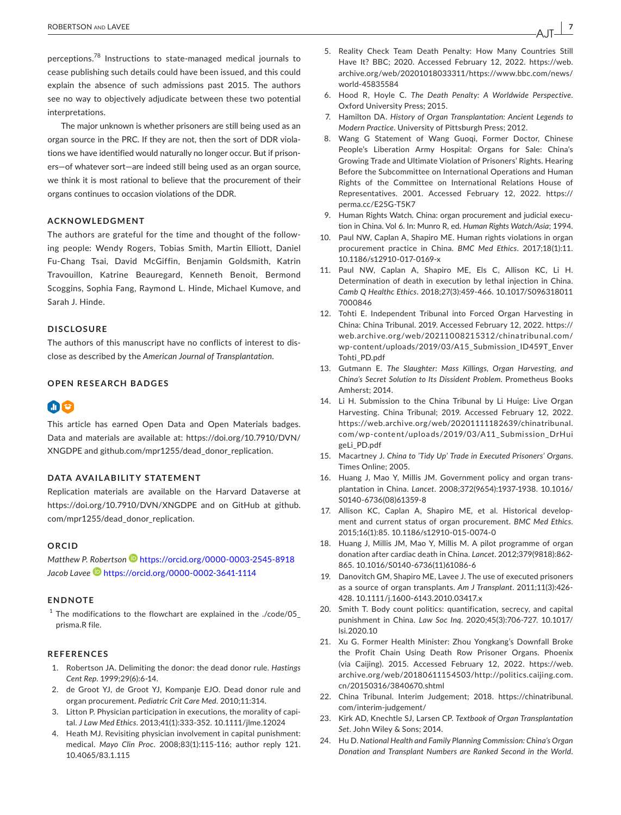perceptions.78 Instructions to state-managed medical journals to cease publishing such details could have been issued, and this could explain the absence of such admissions past 2015. The authors see no way to objectively adjudicate between these two potential interpretations.

The major unknown is whether prisoners are still being used as an organ source in the PRC. If they are not, then the sort of DDR violations we have identified would naturally no longer occur. But if prisoners—of whatever sort—are indeed still being used as an organ source, we think it is most rational to believe that the procurement of their organs continues to occasion violations of the DDR.

#### **ACKNOWLEDGMENT**

The authors are grateful for the time and thought of the following people: Wendy Rogers, Tobias Smith, Martin Elliott, Daniel Fu-Chang Tsai, David McGiffin, Benjamin Goldsmith, Katrin Travouillon, Katrine Beauregard, Kenneth Benoit, Bermond Scoggins, Sophia Fang, Raymond L. Hinde, Michael Kumove, and Sarah J. Hinde.

#### **DISCLOSURE**

The authors of this manuscript have no conflicts of interest to disclose as described by the *American Journal of Transplantation*.

#### **OPEN RESEARCH BADGES**

### 60

This article has earned Open Data and Open Materials badges. Data and materials are available at: [https://doi.org/10.7910/DVN/](https://doi.org/10.7910/DVN/XNGDPE) [XNGDPE](https://doi.org/10.7910/DVN/XNGDPE) and [github.com/mpr1255/dead\\_donor\\_replication](http://github.com/mpr1255/dead_donor_replication).

#### **DATA AVAILABILITY STATEMENT**

Replication materials are available on the Harvard Dataverse at <https://doi.org/10.7910/DVN/XNGDPE>and on GitHub at [github.](http://github.com/mpr1255/dead_donor_replication) [com/mpr1255/dead\\_donor\\_replication.](http://github.com/mpr1255/dead_donor_replication)

#### **ORCID**

Matthew P. Robertson<sup>D</sup> <https://orcid.org/0000-0003-2545-8918> *Jacob Lavee* <https://orcid.org/0000-0002-3641-1114>

#### **ENDNOTE**

 $1$  The modifications to the flowchart are explained in the ./code/05\_ prisma.R file.

#### **REFERENCES**

- 1. Robertson JA. Delimiting the donor: the dead donor rule. *Hastings Cent Rep*. 1999;29(6):6-14.
- 2. de Groot YJ, de Groot YJ, Kompanje EJO. Dead donor rule and organ procurement. *Pediatric Crit Care Med*. 2010;11:314.
- 3. Litton P. Physician participation in executions, the morality of capital. *J Law Med Ethics*. 2013;41(1):333-352. [10.1111/jlme.12024](https://doi.org/10.1111/jlme.12024)
- 4. Heath MJ. Revisiting physician involvement in capital punishment: medical. *Mayo Clin Proc*. 2008;83(1):115-116; author reply 121. [10.4065/83.1.115](https://doi.org/10.4065/83.1.115)
- 5. Reality Check Team Death Penalty: How Many Countries Still Have It? BBC; 2020. Accessed February 12, 2022. [https://web.](https://web.archive.org/web/20201018033311/https://www.bbc.com/news/world-45835584) [archive.org/web/20201018033311/https://www.bbc.com/news/](https://web.archive.org/web/20201018033311/https://www.bbc.com/news/world-45835584) [world-45835584](https://web.archive.org/web/20201018033311/https://www.bbc.com/news/world-45835584)
- 6. Hood R, Hoyle C. *The Death Penalty: A Worldwide Perspective*. Oxford University Press; 2015.
- 7. Hamilton DA. *History of Organ Transplantation: Ancient Legends to Modern Practice*. University of Pittsburgh Press; 2012.
- 8. Wang G Statement of Wang Guoqi, Former Doctor, Chinese People's Liberation Army Hospital: Organs for Sale: China's Growing Trade and Ultimate Violation of Prisoners' Rights. Hearing Before the Subcommittee on International Operations and Human Rights of the Committee on International Relations House of Representatives. 2001. Accessed February 12, 2022. [https://](https://perma.cc/E25G-T5K7) [perma.cc/E25G-T5K7](https://perma.cc/E25G-T5K7)
- 9. Human Rights Watch. China: organ procurement and judicial execution in China. Vol 6. In: Munro R, ed. *Human Rights Watch/Asia*; 1994.
- 10. Paul NW, Caplan A, Shapiro ME. Human rights violations in organ procurement practice in China. *BMC Med Ethics*. 2017;18(1):11. [10.1186/s12910-017-0169-x](https://doi.org/10.1186/s12910-017-0169-x)
- 11. Paul NW, Caplan A, Shapiro ME, Els C, Allison KC, Li H. Determination of death in execution by lethal injection in China. *Camb Q Healthc Ethics*. 2018;27(3):459-466. [10.1017/S096318011](https://doi.org/10.1017/S0963180117000846) [7000846](https://doi.org/10.1017/S0963180117000846)
- 12. Tohti E. Independent Tribunal into Forced Organ Harvesting in China: China Tribunal. 2019. Accessed February 12, 2022. [https://](https://web.archive.org/web/20211008215312/chinatribunal.com/wp-content/uploads/2019/03/A15_Submission_ID459T_EnverTohti_PD.pdf) [web.archive.org/web/20211008215312/chinatribunal.com/](https://web.archive.org/web/20211008215312/chinatribunal.com/wp-content/uploads/2019/03/A15_Submission_ID459T_EnverTohti_PD.pdf) [wp-content/uploads/2019/03/A15\\_Submission\\_ID459T\\_Enver](https://web.archive.org/web/20211008215312/chinatribunal.com/wp-content/uploads/2019/03/A15_Submission_ID459T_EnverTohti_PD.pdf) [Tohti\\_PD.pdf](https://web.archive.org/web/20211008215312/chinatribunal.com/wp-content/uploads/2019/03/A15_Submission_ID459T_EnverTohti_PD.pdf)
- 13. Gutmann E. *The Slaughter: Mass Killings, Organ Harvesting, and China's Secret Solution to Its Dissident Problem*. Prometheus Books Amherst; 2014.
- 14. Li H. Submission to the China Tribunal by Li Huige: Live Organ Harvesting. China Tribunal; 2019. Accessed February 12, 2022. [https://web.archive.org/web/20201111182639/chinatribunal.](https://web.archive.org/web/20201111182639/chinatribunal.com/wp-content/uploads/2019/03/A11_Submission_DrHuigeLi_PD.pdf) [com/wp-content/uploads/2019/03/A11\\_Submi](https://web.archive.org/web/20201111182639/chinatribunal.com/wp-content/uploads/2019/03/A11_Submission_DrHuigeLi_PD.pdf) ssion\_DrHui [geLi\\_PD.pdf](https://web.archive.org/web/20201111182639/chinatribunal.com/wp-content/uploads/2019/03/A11_Submission_DrHuigeLi_PD.pdf)
- 15. Macartney J. *China to 'Tidy Up' Trade in Executed Prisoners' Organs*. Times Online; 2005.
- 16. Huang J, Mao Y, Millis JM. Government policy and organ transplantation in China. *Lancet*. 2008;372(9654):1937-1938. [10.1016/](https://doi.org/10.1016/S0140-6736(08)61359-8) [S0140-6736\(08\)61359-8](https://doi.org/10.1016/S0140-6736(08)61359-8)
- 17. Allison KC, Caplan A, Shapiro ME, et al. Historical development and current status of organ procurement. *BMC Med Ethics*. 2015;16(1):85. [10.1186/s12910-015-0074-0](https://doi.org/10.1186/s12910-015-0074-0)
- 18. Huang J, Millis JM, Mao Y, Millis M. A pilot programme of organ donation after cardiac death in China. *Lancet*. 2012;379(9818):862- 865. [10.1016/S0140-6736\(11\)61086-6](https://doi.org/10.1016/S0140-6736(11)61086-6)
- 19. Danovitch GM, Shapiro ME, Lavee J. The use of executed prisoners as a source of organ transplants. *Am J Transplant*. 2011;11(3):426- 428. [10.1111/j.1600-6143.2010.03417.x](https://doi.org/10.1111/j.1600-6143.2010.03417.x)
- 20. Smith T. Body count politics: quantification, secrecy, and capital punishment in China. *Law Soc Inq*. 2020;45(3):706-727. [10.1017/](https://doi.org/10.1017/lsi.2020.10) [lsi.2020.10](https://doi.org/10.1017/lsi.2020.10)
- 21. Xu G. Former Health Minister: Zhou Yongkang's Downfall Broke the Profit Chain Using Death Row Prisoner Organs. Phoenix (via Caijing). 2015. Accessed February 12, 2022. [https://web.](https://web.archive.org/web/20180611154503/http://politics.caijing.com.cn/20150316/3840670.shtml) [archive.org/web/20180611154503/http://politics.caijing.com.](https://web.archive.org/web/20180611154503/http://politics.caijing.com.cn/20150316/3840670.shtml) [cn/20150316/3840670.shtml](https://web.archive.org/web/20180611154503/http://politics.caijing.com.cn/20150316/3840670.shtml)
- 22. China Tribunal. Interim Judgement; 2018. [https://chinatribunal.](https://chinatribunal.com/interim-judgement/) [com/interim-judgement/](https://chinatribunal.com/interim-judgement/)
- 23. Kirk AD, Knechtle SJ, Larsen CP. *Textbook of Organ Transplantation Set*. John Wiley & Sons; 2014.
- 24. Hu D. *National Health and Family Planning Commission: China's Organ Donation and Transplant Numbers are Ranked Second in the World*.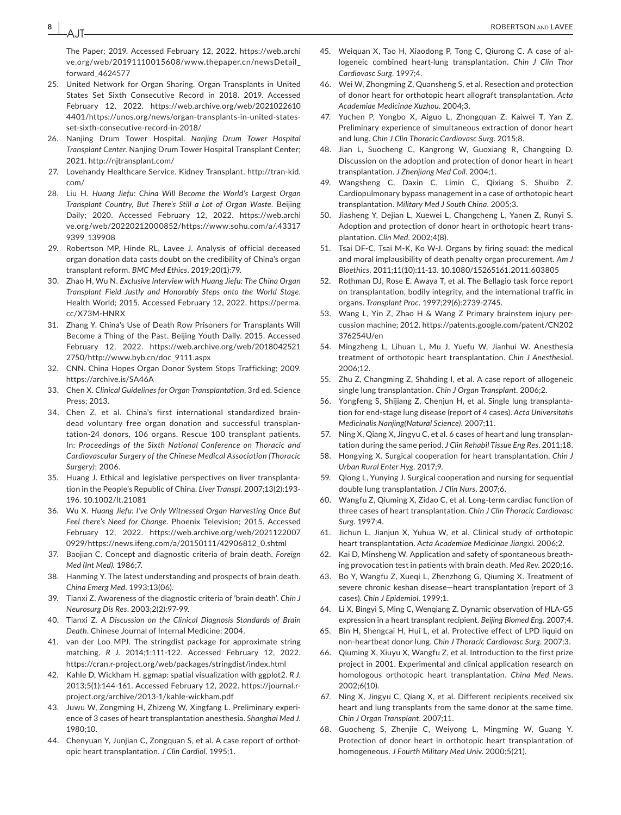The Paper; 2019. Accessed February 12, 2022. [https://web.archi](https://web.archive.org/web/20191110015608/www.thepaper.cn/newsDetail_forward_4624577) [ve.org/web/20191110015608/www.thepaper.cn/newsDetail\\_](https://web.archive.org/web/20191110015608/www.thepaper.cn/newsDetail_forward_4624577) [forward\\_4624577](https://web.archive.org/web/20191110015608/www.thepaper.cn/newsDetail_forward_4624577)

- 25. United Network for Organ Sharing. Organ Transplants in United States Set Sixth Consecutive Record in 2018. 2019. Accessed February 12, 2022. [https://web.archive.org/web/2021022610](https://web.archive.org/web/20210226104401/https://unos.org/news/organ-transplants-in-united-states-set-sixth-consecutive-record-in-2018/) [4401/https://unos.org/news/organ-transplants-in-united-states](https://web.archive.org/web/20210226104401/https://unos.org/news/organ-transplants-in-united-states-set-sixth-consecutive-record-in-2018/)[set-sixth-consecutive-record-in-2018/](https://web.archive.org/web/20210226104401/https://unos.org/news/organ-transplants-in-united-states-set-sixth-consecutive-record-in-2018/)
- 26. Nanjing Drum Tower Hospital. *Nanjing Drum Tower Hospital Transplant Center*. Nanjing Drum Tower Hospital Transplant Center; 2021. <http://njtransplant.com/>
- 27. Lovehandy Healthcare Service. Kidney Transplant. [http://tran-kid.](http://tran-kid.com/) [com/](http://tran-kid.com/)
- 28. Liu H. *Huang Jiefu: China Will Become the World's Largest Organ Transplant Country, But There's Still a Lot of Organ Waste*. Beijing Daily; 2020. Accessed February 12, 2022. [https://web.archi](https://web.archive.org/web/20220212000852/https://www.sohu.com/a/.433179399_139908) [ve.org/web/20220212000852/https://www.sohu.com/a/.43317](https://web.archive.org/web/20220212000852/https://www.sohu.com/a/.433179399_139908) [9399\\_139908](https://web.archive.org/web/20220212000852/https://www.sohu.com/a/.433179399_139908)
- 29. Robertson MP, Hinde RL, Lavee J. Analysis of official deceased organ donation data casts doubt on the credibility of China's organ transplant reform. *BMC Med Ethics*. 2019;20(1):79.
- 30. Zhao H, Wu N. *Exclusive Interview with Huang Jiefu: The China Organ Transplant Field Justly and Honorably Steps onto the World Stage*. Health World; 2015. Accessed February 12, 2022. [https://perma.](https://perma.cc/X73M-HNRX) [cc/X73M-HNRX](https://perma.cc/X73M-HNRX)
- 31. Zhang Y. China's Use of Death Row Prisoners for Transplants Will Become a Thing of the Past. Beijing Youth Daily. 2015. Accessed February 12, 2022. [https://web.archive.org/web/2018042521](https://web.archive.org/web/20180425212750/http://www.byb.cn/doc_9111.aspx) [2750/http://www.byb.cn/doc\\_9111.aspx](https://web.archive.org/web/20180425212750/http://www.byb.cn/doc_9111.aspx)
- 32. CNN. China Hopes Organ Donor System Stops Trafficking; 2009. <https://archive.is/SA46A>
- 33. Chen X. *Clinical Guidelines for Organ Transplantation*, 3rd ed. Science Press; 2013.
- 34. Chen Z, et al. China's first international standardized braindead voluntary free organ donation and successful transplantation-24 donors, 106 organs. Rescue 100 transplant patients. In: *Proceedings of the Sixth National Conference on Thoracic and Cardiovascular Surgery of the Chinese Medical Association (Thoracic Surgery)*; 2006.
- 35. Huang J. Ethical and legislative perspectives on liver transplantation in the People's Republic of China. *Liver Transpl*. 2007;13(2):193- 196. [10.1002/lt.21081](https://doi.org/10.1002/lt.21081)
- 36. Wu X. *Huang Jiefu: I've Only Witnessed Organ Harvesting Once But Feel there's Need for Change*. Phoenix Television; 2015. Accessed February 12, 2022. [https://web.archive.org/web/2021122007](https://web.archive.org/web/20211220070929/https://news.ifeng.com/a/20150111/42906812_0.shtml) [0929/https://news.ifeng.com/a/20150111/42906812\\_0.shtml](https://web.archive.org/web/20211220070929/https://news.ifeng.com/a/20150111/42906812_0.shtml)
- 37. Baojian C. Concept and diagnostic criteria of brain death. *Foreign Med (Int Med)*. 1986;7.
- 38. Hanming Y. The latest understanding and prospects of brain death. *China Emerg Med*. 1993;13(06).
- 39. Tianxi Z. Awareness of the diagnostic criteria of 'brain death'. *Chin J Neurosurg Dis Res*. 2003;2(2):97-99.
- 40. Tianxi Z. *A Discussion on the Clinical Diagnosis Standards of Brain Death*. Chinese Journal of Internal Medicine; 2004.
- 41. van der Loo MPJ. The stringdist package for approximate string matching. *R J*. 2014;1:111-122. Accessed February 12, 2022. <https://cran.r-project.org/web/packages/stringdist/index.html>
- 42. Kahle D, Wickham H. ggmap: spatial visualization with ggplot2. *R J*. 2013;5(1):144-161. Accessed February 12, 2022. [https://journal.r](https://journal.r-project.org/archive/2013-1/kahle-wickham.pdf)[project.org/archive/2013-1/kahle-wickham.pdf](https://journal.r-project.org/archive/2013-1/kahle-wickham.pdf)
- 43. Juwu W, Zongming H, Zhizeng W, Xingfang L. Preliminary experience of 3 cases of heart transplantation anesthesia. *Shanghai Med J*. 1980;10.
- 44. Chenyuan Y, Junjian C, Zongquan S, et al. A case report of orthotopic heart transplantation. *J Clin Cardiol*. 1995;1.
- 45. Weiquan X, Tao H, Xiaodong P, Tong C, Qiurong C. A case of allogeneic combined heart-lung transplantation. *Chin J Clin Thor Cardiovasc Surg*. 1997;4.
- 46. Wei W, Zhongming Z, Quansheng S, et al. Resection and protection of donor heart for orthotopic heart allograft transplantation. *Acta Academiae Medicinae Xuzhou*. 2004;3.
- 47. Yuchen P, Yongbo X, Aiguo L, Zhongquan Z, Kaiwei T, Yan Z. Preliminary experience of simultaneous extraction of donor heart and lung. *Chin J Clin Thoracic Cardiovasc Surg*. 2015;8.
- 48. Jian L, Suocheng C, Kangrong W, Guoxiang R, Changqing D. Discussion on the adoption and protection of donor heart in heart transplantation. *J Zhenjiang Med Coll*. 2004;1.
- 49. Wangsheng C, Daxin C, Limin C, Qixiang S, Shuibo Z. Cardiopulmonary bypass management in a case of orthotopic heart transplantation. *Military Med J South China*. 2005;3.
- 50. Jiasheng Y, Dejian L, Xuewei L, Changcheng L, Yanen Z, Runyi S. Adoption and protection of donor heart in orthotopic heart transplantation. *Clin Med*. 2002;4(8).
- 51. Tsai DF-C, Tsai M-K, Ko W-J. Organs by firing squad: the medical and moral implausibility of death penalty organ procurement. *Am J Bioethics*. 2011;11(10):11-13. [10.1080/15265161.2011.603805](https://doi.org/10.1080/15265161.2011.603805)
- 52. Rothman DJ, Rose E, Awaya T, et al. The Bellagio task force report on transplantation, bodily integrity, and the international traffic in organs. *Transplant Proc*. 1997;29(6):2739-2745.
- 53. Wang L, Yin Z, Zhao H & Wang Z Primary brainstem injury percussion machine; 2012. [https://patents.google.com/patent/CN202](https://patents.google.com/patent/CN202376254U/en) [376254U/en](https://patents.google.com/patent/CN202376254U/en)
- 54. Mingzheng L, Lihuan L, Mu J, Yuefu W, Jianhui W. Anesthesia treatment of orthotopic heart transplantation. *Chin J Anesthesiol*. 2006;12.
- 55. Zhu Z, Changming Z, Shahding I, et al. A case report of allogeneic single lung transplantation. *Chin J Organ Transplant*. 2006;2.
- 56. Yongfeng S, Shijiang Z, Chenjun H, et al. Single lung transplantation for end-stage lung disease (report of 4 cases). *Acta Universitatis Medicinalis Nanjing(Natural Science)*. 2007;11.
- 57. Ning X, Qiang X, Jingyu C, et al. 6 cases of heart and lung transplantation during the same period. *J Clin Rehabil Tissue Eng Res*. 2011;18.
- 58. Hongying X. Surgical cooperation for heart transplantation. *Chin J Urban Rural Enter Hyg*. 2017;9.
- 59. Qiong L, Yunying J. Surgical cooperation and nursing for sequential double lung transplantation. *J Clin Nurs*. 2007;6.
- 60. Wangfu Z, Qiuming X, Zidao C, et al. Long-term cardiac function of three cases of heart transplantation. *Chin J Clin Thoracic Cardiovasc Surg*. 1997;4.
- 61. Jichun L, Jianjun X, Yuhua W, et al. Clinical study of orthotopic heart transplantation. *Acta Academiae Medicinae Jiangxi*. 2006;2.
- 62. Kai D, Minsheng W. Application and safety of spontaneous breathing provocation test in patients with brain death. *Med Rev*. 2020;16.
- 63. Bo Y, Wangfu Z, Xueqi L, Zhenzhong G, Qiuming X. Treatment of severe chronic keshan disease—heart transplantation (report of 3 cases). *Chin J Epidemiol*. 1999;1.
- 64. Li X, Bingyi S, Ming C, Wenqiang Z. Dynamic observation of HLA-G5 expression in a heart transplant recipient. *Beijing Biomed Eng*. 2007;4.
- 65. Bin H, Shengcai H, Hui L, et al. Protective effect of LPD liquid on non-heartbeat donor lung. *Chin J Thoracic Cardiovasc Surg*. 2007;3.
- 66. Qiuming X, Xiuyu X, Wangfu Z, et al. Introduction to the first prize project in 2001. Experimental and clinical application research on homologous orthotopic heart transplantation. *China Med News*. 2002;6(10).
- 67. Ning X, Jingyu C, Qiang X, et al. Different recipients received six heart and lung transplants from the same donor at the same time. *Chin J Organ Transplant*. 2007;11.
- 68. Guocheng S, Zhenjie C, Weiyong L, Mingming W, Guang Y. Protection of donor heart in orthotopic heart transplantation of homogeneous. *J Fourth Military Med Univ*. 2000;5(21).

AJT